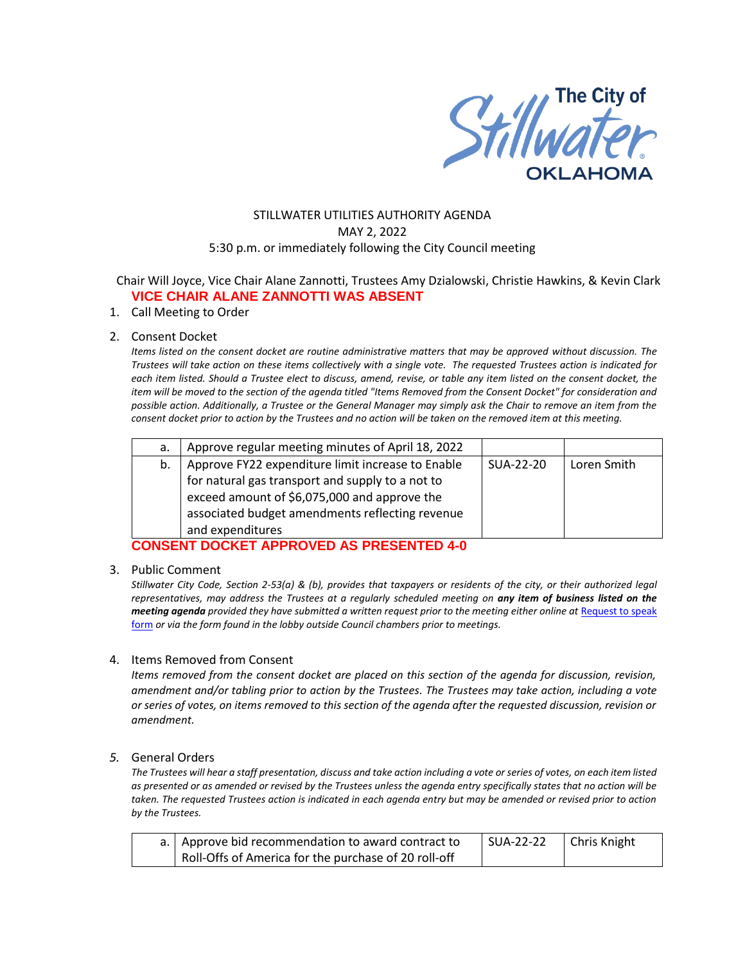

# STILLWATER UTILITIES AUTHORITY AGENDA MAY 2, 2022 5:30 p.m. or immediately following the City Council meeting

## Chair Will Joyce, Vice Chair Alane Zannotti, Trustees Amy Dzialowski, Christie Hawkins, & Kevin Clark **VICE CHAIR ALANE ZANNOTTI WAS ABSENT**

#### 1. Call Meeting to Order

#### 2. Consent Docket

*Items listed on the consent docket are routine administrative matters that may be approved without discussion. The Trustees will take action on these items collectively with a single vote. The requested Trustees action is indicated for each item listed. Should a Trustee elect to discuss, amend, revise, or table any item listed on the consent docket, the item will be moved to the section of the agenda titled "Items Removed from the Consent Docket" for consideration and possible action. Additionally, a Trustee or the General Manager may simply ask the Chair to remove an item from the consent docket prior to action by the Trustees and no action will be taken on the removed item at this meeting.*

| а. | Approve regular meeting minutes of April 18, 2022 |           |             |
|----|---------------------------------------------------|-----------|-------------|
| b. | Approve FY22 expenditure limit increase to Enable | SUA-22-20 | Loren Smith |
|    | for natural gas transport and supply to a not to  |           |             |
|    | exceed amount of \$6,075,000 and approve the      |           |             |
|    | associated budget amendments reflecting revenue   |           |             |
|    | and expenditures                                  |           |             |

# **CONSENT DOCKET APPROVED AS PRESENTED 4-0**

#### 3. Public Comment

*Stillwater City Code, Section 2-53(a) & (b), provides that taxpayers or residents of the city, or their authorized legal representatives, may address the Trustees at a regularly scheduled meeting on any item of business listed on the meeting agenda provided they have submitted a written request prior to the meeting either online at Request to speak* [form](http://stillwater.org/page/home/government/mayor-city-council/meetings-agendas-minutes/online-request-to-speak-at-city-council) *or via the form found in the lobby outside Council chambers prior to meetings.*

#### 4. Items Removed from Consent

*Items removed from the consent docket are placed on this section of the agenda for discussion, revision, amendment and/or tabling prior to action by the Trustees. The Trustees may take action, including a vote or series of votes, on items removed to this section of the agenda after the requested discussion, revision or amendment.* 

### *5.* General Orders

*The Trustees will hear a staff presentation, discuss and take action including a vote or series of votes, on each item listed as presented or as amended or revised by the Trustees unless the agenda entry specifically states that no action will be taken. The requested Trustees action is indicated in each agenda entry but may be amended or revised prior to action by the Trustees.* 

| a.   Approve bid recommendation to award contract to | SUA-22-22 | Chris Knight |
|------------------------------------------------------|-----------|--------------|
| Roll-Offs of America for the purchase of 20 roll-off |           |              |